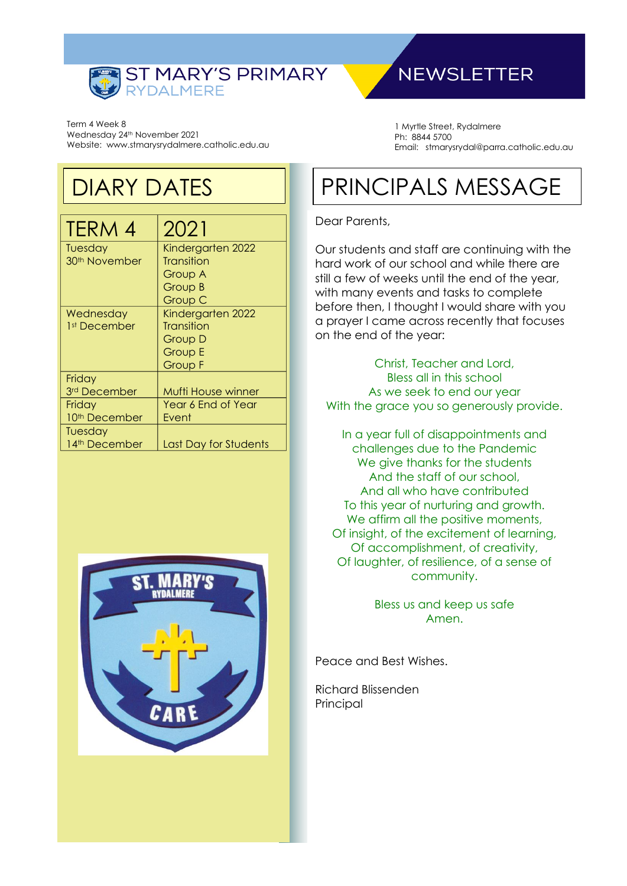

Term 4 Week 8 Wednesday 24<sup>th</sup> November 2021 Website: www.stmarysrydalmere.catholic.edu.au

## DIARY DATES

| TERM 4                    | 2021                  |
|---------------------------|-----------------------|
| Tuesday                   | Kindergarten 2022     |
| 30 <sup>th</sup> November | <b>Transition</b>     |
|                           | Group A               |
|                           | Group B               |
|                           | Group C               |
| Wednesday                 | Kindergarten 2022     |
| 1st December              | Transition            |
|                           | Group D               |
|                           | Group E               |
|                           | Group F               |
| Friday                    |                       |
| 3rd December              | Mufti House winner    |
| Friday                    | Year 6 End of Year    |
| 10 <sup>th</sup> December | Event                 |
| Tuesday                   |                       |
| 14th December             | Last Day for Students |



## **NEWSLETTER**

1 Myrtle Street, Rydalmere Ph: 8844 5700 Email: stmarysrydal@parra.catholic.edu.au

# PRINCIPALS MESSAGE

#### Dear Parents,

Our students and staff are continuing with the hard work of our school and while there are still a few of weeks until the end of the year, with many events and tasks to complete before then, I thought I would share with you a prayer I came across recently that focuses on the end of the year:

Christ, Teacher and Lord, Bless all in this school As we seek to end our year With the grace you so generously provide.

In a year full of disappointments and challenges due to the Pandemic We give thanks for the students And the staff of our school, And all who have contributed To this year of nurturing and growth. We affirm all the positive moments, Of insight, of the excitement of learning, Of accomplishment, of creativity, Of laughter, of resilience, of a sense of community.

> Bless us and keep us safe Amen.

Peace and Best Wishes.

Richard Blissenden Principal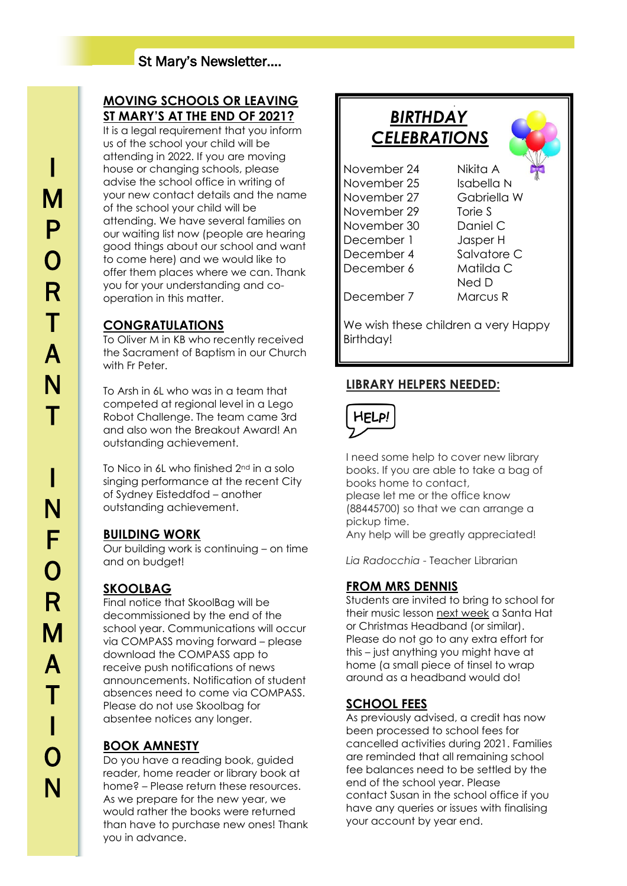### **MOVING SCHOOLS OR LEAVING ST MARY'S AT THE END OF 2021?**

It is a legal requirement that you inform us of the school your child will be attending in 2022. If you are moving house or changing schools, please advise the school office in writing of your new contact details and the name of the school your child will be attending. We have several families on our waiting list now (people are hearing good things about our school and want to come here) and we would like to offer them places where we can. Thank you for your understanding and cooperation in this matter.

## **CONGRATULATIONS**

To Oliver M in KB who recently received the Sacrament of Baptism in our Church with Fr Peter

To Arsh in 6L who was in a team that competed at regional level in a Lego Robot Challenge. The team came 3rd and also won the Breakout Award! An outstanding achievement.

To Nico in 6L who finished 2nd in a solo singing performance at the recent City of Sydney Eisteddfod – another outstanding achievement.

#### **BUILDING WORK**

Our building work is continuing – on time and on budget!

### **SKOOLBAG**

Final notice that SkoolBag will be decommissioned by the end of the school year. Communications will occur via COMPASS moving forward – please download the COMPASS app to receive push notifications of news announcements. Notification of student absences need to come via COMPASS. Please do not use Skoolbag for absentee notices any longer.

## **BOOK AMNESTY**

Do you have a reading book, guided reader, home reader or library book at home? – Please return these resources. As we prepare for the new year, we would rather the books were returned than have to purchase new ones! Thank you in advance.

## *BIRTHDAY CELEBRATIONS*

l,

November 24 Nikita A November 25 Isabella N November 27 Gabriella W November 29 Torie S November 30 Daniel C December 1 Jasper H December 4 Salvatore C December 6 Matilda C

Ned D December 7 Marcus R

We wish these children a very Happy Birthday!

## **LIBRARY HELPERS NEEDED:**



I need some help to cover new library books. If you are able to take a bag of books home to contact, please let me or the office know (88445700) so that we can arrange a pickup time. Any help will be greatly appreciated!

*Lia Radocchia* - Teacher Librarian

### **FROM MRS DENNIS**

Students are invited to bring to school for their music lesson next week a Santa Hat or Christmas Headband (or similar). Please do not go to any extra effort for this – just anything you might have at home (a small piece of tinsel to wrap around as a headband would do!

### **SCHOOL FEES**

As previously advised, a credit has now been processed to school fees for cancelled activities during 2021. Families are reminded that all remaining school fee balances need to be settled by the end of the school year. Please contact Susan in the school office if you have any queries or issues with finalising your account by year end.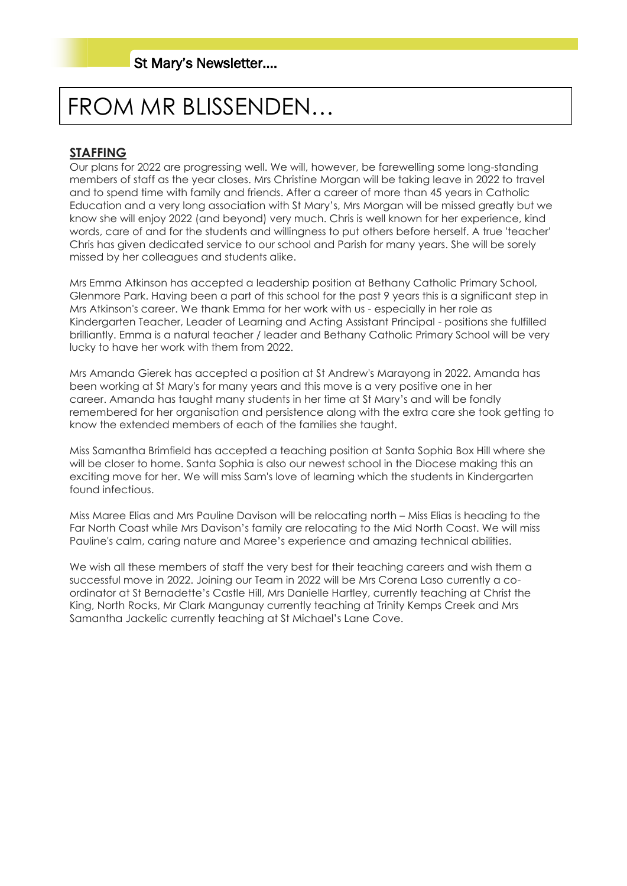# FROM MR BLISSENDEN…

### **STAFFING**

Our plans for 2022 are progressing well. We will, however, be farewelling some long-standing members of staff as the year closes. Mrs Christine Morgan will be taking leave in 2022 to travel and to spend time with family and friends. After a career of more than 45 years in Catholic Education and a very long association with St Mary's, Mrs Morgan will be missed greatly but we know she will enjoy 2022 (and beyond) very much. Chris is well known for her experience, kind words, care of and for the students and willingness to put others before herself. A true 'teacher' Chris has given dedicated service to our school and Parish for many years. She will be sorely missed by her colleagues and students alike.

Mrs Emma Atkinson has accepted a leadership position at Bethany Catholic Primary School, Glenmore Park. Having been a part of this school for the past 9 years this is a significant step in Mrs Atkinson's career. We thank Emma for her work with us - especially in her role as Kindergarten Teacher, Leader of Learning and Acting Assistant Principal - positions she fulfilled brilliantly. Emma is a natural teacher / leader and Bethany Catholic Primary School will be very lucky to have her work with them from 2022.

Mrs Amanda Gierek has accepted a position at St Andrew's Marayong in 2022. Amanda has been working at St Mary's for many years and this move is a very positive one in her career. Amanda has taught many students in her time at St Mary's and will be fondly remembered for her organisation and persistence along with the extra care she took getting to know the extended members of each of the families she taught.

Miss Samantha Brimfield has accepted a teaching position at Santa Sophia Box Hill where she will be closer to home. Santa Sophia is also our newest school in the Diocese making this an exciting move for her. We will miss Sam's love of learning which the students in Kindergarten found infectious.

Miss Maree Elias and Mrs Pauline Davison will be relocating north – Miss Elias is heading to the Far North Coast while Mrs Davison's family are relocating to the Mid North Coast. We will miss Pauline's calm, caring nature and Maree's experience and amazing technical abilities.

We wish all these members of staff the very best for their teaching careers and wish them a successful move in 2022. Joining our Team in 2022 will be Mrs Corena Laso currently a coordinator at St Bernadette's Castle Hill, Mrs Danielle Hartley, currently teaching at Christ the King, North Rocks, Mr Clark Mangunay currently teaching at Trinity Kemps Creek and Mrs Samantha Jackelic currently teaching at St Michael's Lane Cove.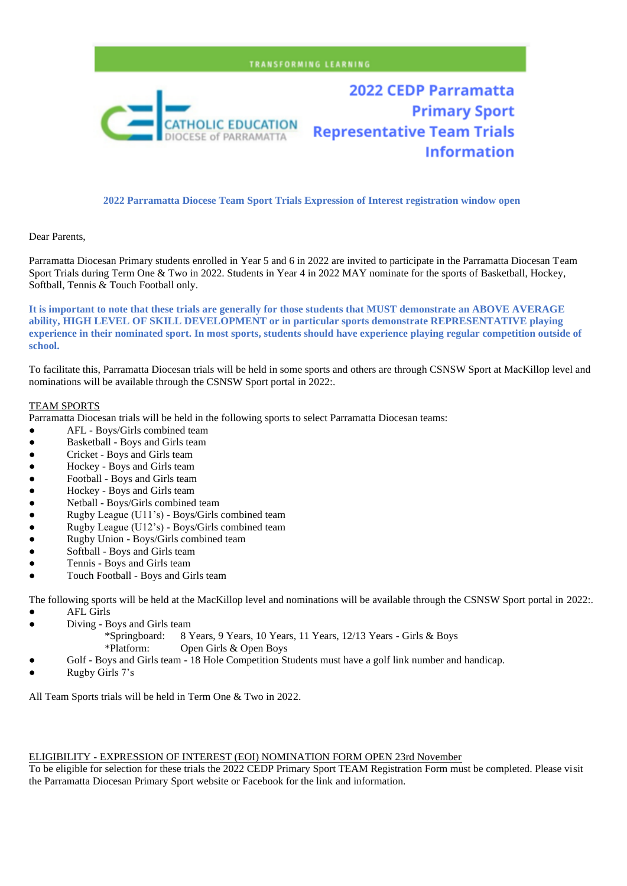#### TRANSFORMING LEARNING



**2022 CEDP Parramatta Primary Sport Representative Team Trials Information** 

#### **2022 Parramatta Diocese Team Sport Trials Expression of Interest registration window open**

Dear Parents,

Parramatta Diocesan Primary students enrolled in Year 5 and 6 in 2022 are invited to participate in the Parramatta Diocesan Team Sport Trials during Term One & Two in 2022. Students in Year 4 in 2022 MAY nominate for the sports of Basketball, Hockey, Softball, Tennis & Touch Football only.

**It is important to note that these trials are generally for those students that MUST demonstrate an ABOVE AVERAGE ability, HIGH LEVEL OF SKILL DEVELOPMENT or in particular sports demonstrate REPRESENTATIVE playing experience in their nominated sport. In most sports, students should have experience playing regular competition outside of school.**

To facilitate this, Parramatta Diocesan trials will be held in some sports and others are through CSNSW Sport at MacKillop level and nominations will be available through the CSNSW Sport portal in 2022:.

#### TEAM SPORTS

Parramatta Diocesan trials will be held in the following sports to select Parramatta Diocesan teams:

- AFL Boys/Girls combined team
- Basketball Boys and Girls team
- Cricket Boys and Girls team
- Hockey Boys and Girls team
- Football Boys and Girls team
- 
- Hockey Boys and Girls team<br>● Nethall Boys/Girls combined • Netball - Boys/Girls combined team<br>• Rugby League (U11's) - Boys/Girls
- Rugby League (U11's) Boys/Girls combined team
- Rugby League (U12's) Boys/Girls combined team
- Rugby Union Boys/Girls combined team
- Softball Boys and Girls team
- Tennis Boys and Girls team
- Touch Football Boys and Girls team

The following sports will be held at the MacKillop level and nominations will be available through the CSNSW Sport portal in 2022:.

- **AFL Girls**
- Diving Boys and Girls team
	- \*Springboard: 8 Years, 9 Years, 10 Years, 11 Years, 12/13 Years Girls & Boys \*Platform: Open Girls & Open Boys
- Golf Boys and Girls team 18 Hole Competition Students must have a golf link number and handicap.
- Rugby Girls 7's

All Team Sports trials will be held in Term One & Two in 2022.

#### ELIGIBILITY - EXPRESSION OF INTEREST (EOI) NOMINATION FORM OPEN 23rd November

To be eligible for selection for these trials the 2022 CEDP Primary Sport TEAM Registration Form must be completed. Please visit the Parramatta Diocesan Primary Sport website or Facebook for the link and information.